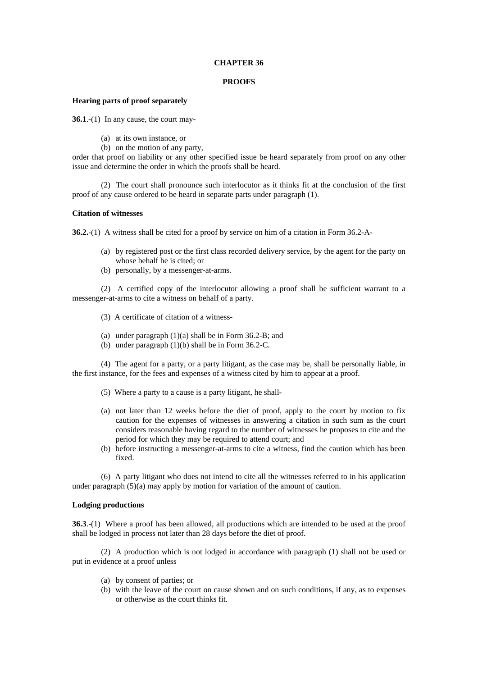# **CHAPTER 36**

### **PROOFS**

# **Hearing parts of proof separately**

**36.1**.-(1) In any cause, the court may-

- (a) at its own instance, or
- (b) on the motion of any party,

order that proof on liability or any other specified issue be heard separately from proof on any other issue and determine the order in which the proofs shall be heard.

 (2) The court shall pronounce such interlocutor as it thinks fit at the conclusion of the first proof of any cause ordered to be heard in separate parts under paragraph (1).

# **Citation of witnesses**

**36.2.**-(1) A witness shall be cited for a proof by service on him of a citation in Form 36.2-A-

- (a) by registered post or the first class recorded delivery service, by the agent for the party on whose behalf he is cited; or
- (b) personally, by a messenger-at-arms.

 (2) A certified copy of the interlocutor allowing a proof shall be sufficient warrant to a messenger-at-arms to cite a witness on behalf of a party.

- (3) A certificate of citation of a witness-
- (a) under paragraph (1)(a) shall be in Form 36.2-B; and
- (b) under paragraph (1)(b) shall be in Form 36.2-C.

 (4) The agent for a party, or a party litigant, as the case may be, shall be personally liable, in the first instance, for the fees and expenses of a witness cited by him to appear at a proof.

- (5) Where a party to a cause is a party litigant, he shall-
- (a) not later than 12 weeks before the diet of proof, apply to the court by motion to fix caution for the expenses of witnesses in answering a citation in such sum as the court considers reasonable having regard to the number of witnesses he proposes to cite and the period for which they may be required to attend court; and
- (b) before instructing a messenger-at-arms to cite a witness, find the caution which has been fixed.

 (6) A party litigant who does not intend to cite all the witnesses referred to in his application under paragraph (5)(a) may apply by motion for variation of the amount of caution.

# **Lodging productions**

**36.3**.-(1) Where a proof has been allowed, all productions which are intended to be used at the proof shall be lodged in process not later than 28 days before the diet of proof.

 (2) A production which is not lodged in accordance with paragraph (1) shall not be used or put in evidence at a proof unless

- (a) by consent of parties; or
- (b) with the leave of the court on cause shown and on such conditions, if any, as to expenses or otherwise as the court thinks fit.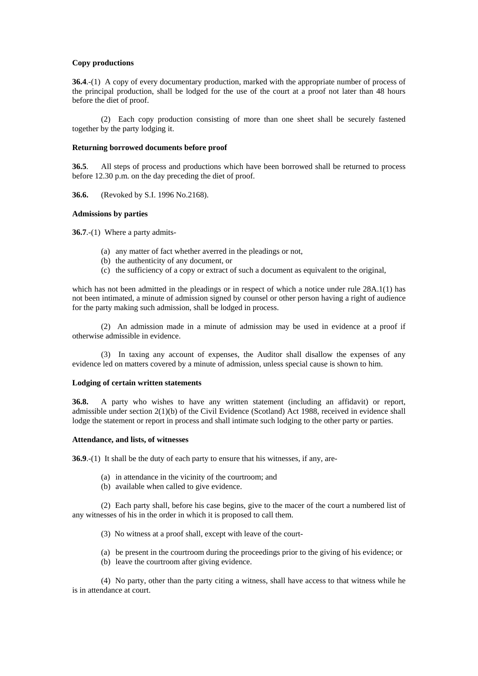# **Copy productions**

**36.4**.-(1) A copy of every documentary production, marked with the appropriate number of process of the principal production, shall be lodged for the use of the court at a proof not later than 48 hours before the diet of proof.

 (2) Each copy production consisting of more than one sheet shall be securely fastened together by the party lodging it.

#### **Returning borrowed documents before proof**

**36.5**. All steps of process and productions which have been borrowed shall be returned to process before 12.30 p.m. on the day preceding the diet of proof.

**36.6.** (Revoked by S.I. 1996 No.2168).

### **Admissions by parties**

**36.7**.-(1) Where a party admits-

- (a) any matter of fact whether averred in the pleadings or not,
- (b) the authenticity of any document, or
- (c) the sufficiency of a copy or extract of such a document as equivalent to the original,

which has not been admitted in the pleadings or in respect of which a notice under rule 28A.1(1) has not been intimated, a minute of admission signed by counsel or other person having a right of audience for the party making such admission, shall be lodged in process.

 (2) An admission made in a minute of admission may be used in evidence at a proof if otherwise admissible in evidence.

 (3) In taxing any account of expenses, the Auditor shall disallow the expenses of any evidence led on matters covered by a minute of admission, unless special cause is shown to him.

### **Lodging of certain written statements**

**36.8.** A party who wishes to have any written statement (including an affidavit) or report, admissible under section 2(1)(b) of the Civil Evidence (Scotland) Act 1988, received in evidence shall lodge the statement or report in process and shall intimate such lodging to the other party or parties.

### **Attendance, and lists, of witnesses**

**36.9**.-(1) It shall be the duty of each party to ensure that his witnesses, if any, are-

- (a) in attendance in the vicinity of the courtroom; and
- (b) available when called to give evidence.

 (2) Each party shall, before his case begins, give to the macer of the court a numbered list of any witnesses of his in the order in which it is proposed to call them.

- (3) No witness at a proof shall, except with leave of the court-
- (a) be present in the courtroom during the proceedings prior to the giving of his evidence; or
- (b) leave the courtroom after giving evidence.

 (4) No party, other than the party citing a witness, shall have access to that witness while he is in attendance at court.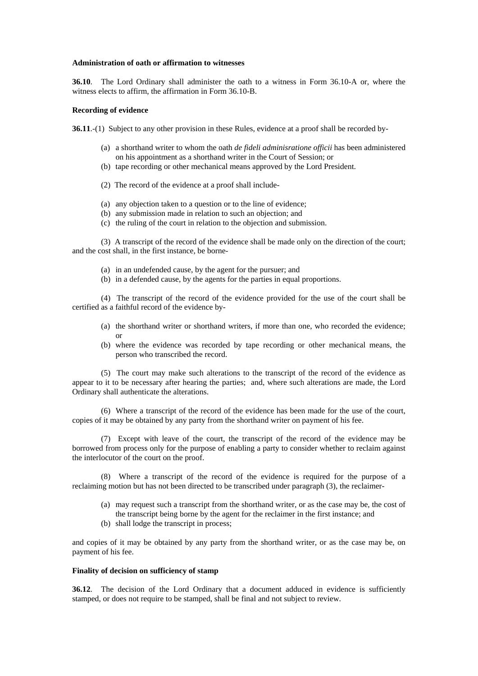#### **Administration of oath or affirmation to witnesses**

**36.10**. The Lord Ordinary shall administer the oath to a witness in Form 36.10-A or, where the witness elects to affirm, the affirmation in Form 36.10-B.

#### **Recording of evidence**

**36.11.**-(1) Subject to any other provision in these Rules, evidence at a proof shall be recorded by-

- (a) a shorthand writer to whom the oath *de fideli adminisratione officii* has been administered on his appointment as a shorthand writer in the Court of Session; or
- (b) tape recording or other mechanical means approved by the Lord President.
- (2) The record of the evidence at a proof shall include-
- (a) any objection taken to a question or to the line of evidence;
- (b) any submission made in relation to such an objection; and
- (c) the ruling of the court in relation to the objection and submission.

 (3) A transcript of the record of the evidence shall be made only on the direction of the court; and the cost shall, in the first instance, be borne-

- (a) in an undefended cause, by the agent for the pursuer; and
- (b) in a defended cause, by the agents for the parties in equal proportions.

 (4) The transcript of the record of the evidence provided for the use of the court shall be certified as a faithful record of the evidence by-

- (a) the shorthand writer or shorthand writers, if more than one, who recorded the evidence; or
- (b) where the evidence was recorded by tape recording or other mechanical means, the person who transcribed the record.

 (5) The court may make such alterations to the transcript of the record of the evidence as appear to it to be necessary after hearing the parties; and, where such alterations are made, the Lord Ordinary shall authenticate the alterations.

 (6) Where a transcript of the record of the evidence has been made for the use of the court, copies of it may be obtained by any party from the shorthand writer on payment of his fee.

 (7) Except with leave of the court, the transcript of the record of the evidence may be borrowed from process only for the purpose of enabling a party to consider whether to reclaim against the interlocutor of the court on the proof.

 (8) Where a transcript of the record of the evidence is required for the purpose of a reclaiming motion but has not been directed to be transcribed under paragraph (3), the reclaimer-

- (a) may request such a transcript from the shorthand writer, or as the case may be, the cost of the transcript being borne by the agent for the reclaimer in the first instance; and
- (b) shall lodge the transcript in process;

and copies of it may be obtained by any party from the shorthand writer, or as the case may be, on payment of his fee.

# **Finality of decision on sufficiency of stamp**

**36.12.** The decision of the Lord Ordinary that a document adduced in evidence is sufficiently stamped, or does not require to be stamped, shall be final and not subject to review.